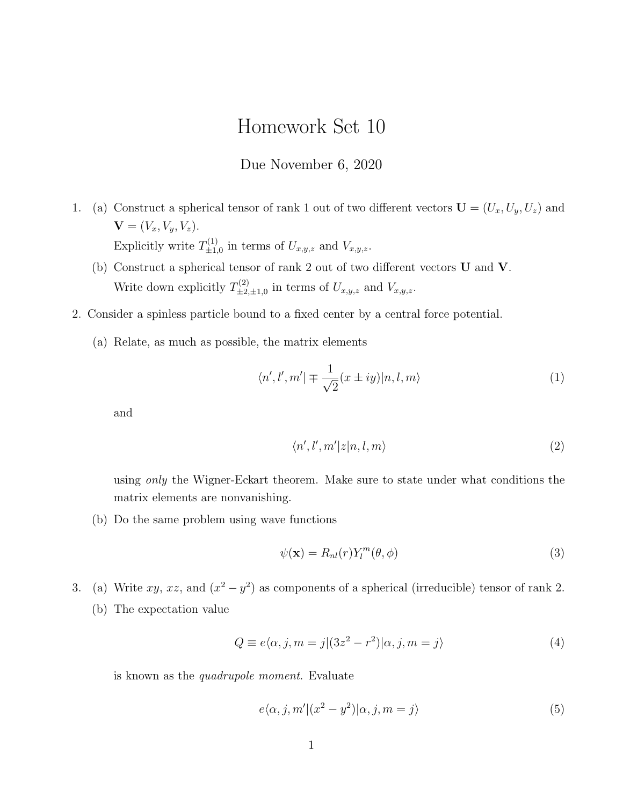## Homework Set 10

## Due November 6, 2020

- 1. (a) Construct a spherical tensor of rank 1 out of two different vectors  $\mathbf{U} = (U_x, U_y, U_z)$  and  $$ Explicitly write  $T_{+1}^{(1)}$  $\mathcal{L}_{\pm 1,0}^{(1)}$  in terms of  $U_{x,y,z}$  and  $V_{x,y,z}$ .
	- (b) Construct a spherical tensor of rank 2 out of two different vectors U and V. Write down explicitly  $T_{+2}^{(2)}$  $\mathcal{L}_{\pm 2,\pm 1,0}^{(2)}$  in terms of  $U_{x,y,z}$  and  $V_{x,y,z}$ .
- 2. Consider a spinless particle bound to a fixed center by a central force potential.
	- (a) Relate, as much as possible, the matrix elements

$$
\langle n', l', m' | \mp \frac{1}{\sqrt{2}} (x \pm iy) | n, l, m \rangle \tag{1}
$$

and

$$
\langle n', l', m'|z|n, l, m\rangle \tag{2}
$$

using only the Wigner-Eckart theorem. Make sure to state under what conditions the matrix elements are nonvanishing.

(b) Do the same problem using wave functions

$$
\psi(\mathbf{x}) = R_{nl}(r) Y_l^m(\theta, \phi) \tag{3}
$$

3. (a) Write  $xy$ ,  $xz$ , and  $(x^2 - y^2)$  as components of a spherical (irreducible) tensor of rank 2. (b) The expectation value

$$
Q \equiv e\langle \alpha, j, m = j | (3z^2 - r^2) | \alpha, j, m = j \rangle \tag{4}
$$

is known as the quadrupole moment. Evaluate

$$
e\langle \alpha, j, m' | (x^2 - y^2) | \alpha, j, m = j \rangle \tag{5}
$$